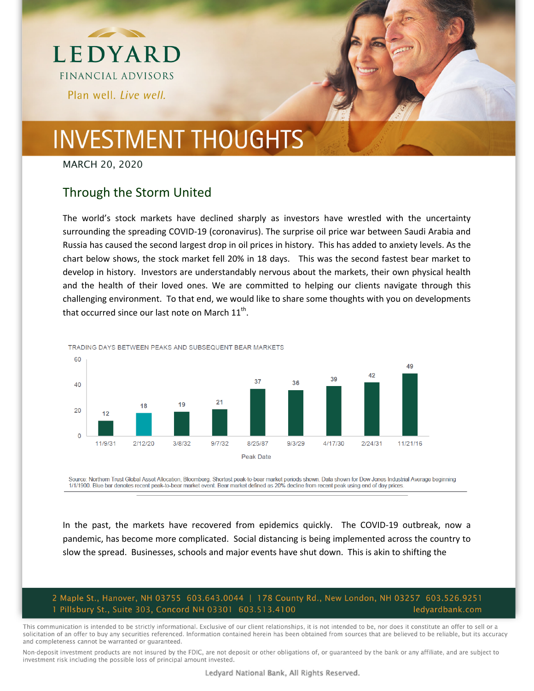

MARCH 20, 2020

#### Through the Storm United

The world's stock markets have declined sharply as investors have wrestled with the uncertainty surrounding the spreading COVID‐19 (coronavirus). The surprise oil price war between Saudi Arabia and Russia has caused the second largest drop in oil prices in history. This has added to anxiety levels. As the chart below shows, the stock market fell 20% in 18 days. This was the second fastest bear market to develop in history. Investors are understandably nervous about the markets, their own physical health and the health of their loved ones. We are committed to helping our clients navigate through this challenging environment. To that end, we would like to share some thoughts with you on developments that occurred since our last note on March  $11^{th}$ .



TRADING DAYS BETWEEN PEAKS AND SUBSFOUENT BEAR MARKETS

Source: Northem Trust Global Asset Allocation, Bloomberg. Shortest peak-to-bear market periods shown. Data shown for Dow Jones Industrial Average beginning 1/1/1900. Blue bar denotes recent peak-to-bear market event. Bear market defined as 20% decline from recent peak using end of day prices.

In the past, the markets have recovered from epidemics quickly. The COVID-19 outbreak, now a pandemic, has become more complicated. Social distancing is being implemented across the country to slow the spread. Businesses, schools and major events have shut down. This is akin to shifting the

#### 2 Maple St., Hanover, NH 03755 603.643.0044 | 178 County Rd., New London, NH 03257 603.526.9251 1 Pillsbury St., Suite 303, Concord NH 03301 603.513.4100 ledyardbank.com

This communication is intended to be strictly informational. Exclusive of our client relationships, it is not intended to be, nor does it constitute an offer to sell or a solicitation of an offer to buy any securities referenced. Information contained herein has been obtained from sources that are believed to be reliable, but its accuracy and completeness cannot be warranted or guaranteed.

Non-deposit investment products are not insured by the FDIC, are not deposit or other obligations of, or guaranteed by the bank or any affiliate, and are subject to investment risk including the possible loss of principal amount invested.

Ledyard National Bank, All Rights Reserved.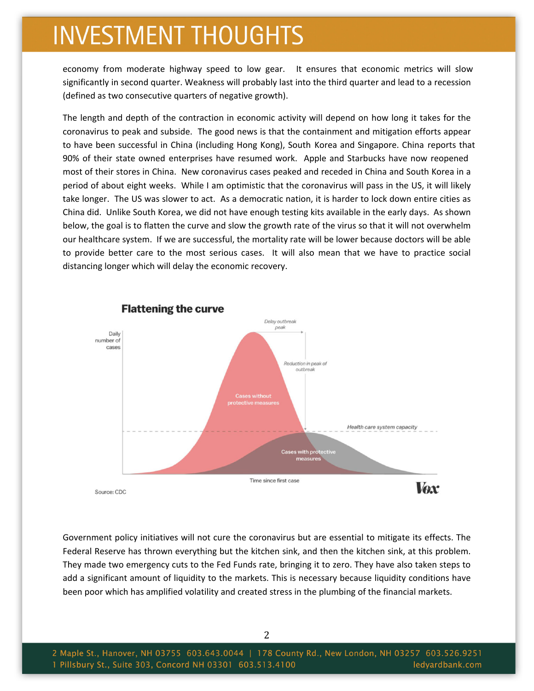economy from moderate highway speed to low gear. It ensures that economic metrics will slow significantly in second quarter. Weakness will probably last into the third quarter and lead to a recession (defined as two consecutive quarters of negative growth).

The length and depth of the contraction in economic activity will depend on how long it takes for the coronavirus to peak and subside. The good news is that the containment and mitigation efforts appear to have been successful in China (including Hong Kong), South Korea and Singapore. China reports that 90% of their state owned enterprises have resumed work. Apple and Starbucks have now reopened most of their stores in China. New coronavirus cases peaked and receded in China and South Korea in a period of about eight weeks. While I am optimistic that the coronavirus will pass in the US, it will likely take longer. The US was slower to act. As a democratic nation, it is harder to lock down entire cities as China did. Unlike South Korea, we did not have enough testing kits available in the early days. As shown below, the goal is to flatten the curve and slow the growth rate of the virus so that it will not overwhelm our healthcare system. If we are successful, the mortality rate will be lower because doctors will be able to provide better care to the most serious cases. It will also mean that we have to practice social distancing longer which will delay the economic recovery.



Government policy initiatives will not cure the coronavirus but are essential to mitigate its effects. The Federal Reserve has thrown everything but the kitchen sink, and then the kitchen sink, at this problem. They made two emergency cuts to the Fed Funds rate, bringing it to zero. They have also taken steps to add a significant amount of liquidity to the markets. This is necessary because liquidity conditions have been poor which has amplified volatility and created stress in the plumbing of the financial markets.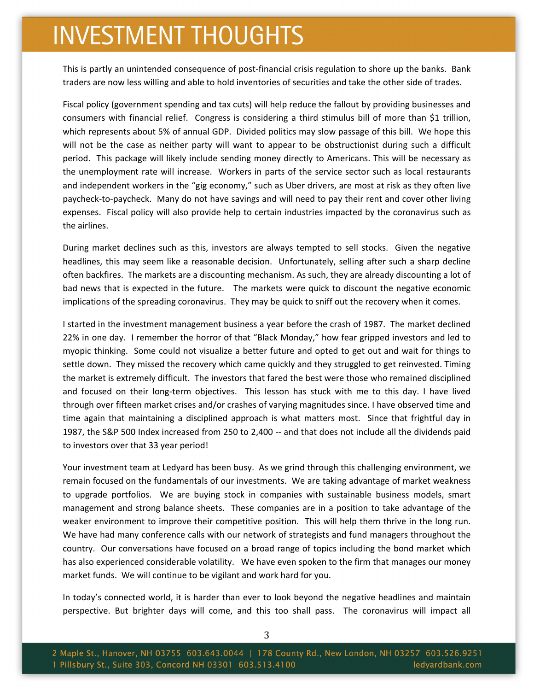This is partly an unintended consequence of post-financial crisis regulation to shore up the banks. Bank traders are now less willing and able to hold inventories of securities and take the other side of trades.

Fiscal policy (government spending and tax cuts) will help reduce the fallout by providing businesses and consumers with financial relief. Congress is considering a third stimulus bill of more than \$1 trillion, which represents about 5% of annual GDP. Divided politics may slow passage of this bill. We hope this will not be the case as neither party will want to appear to be obstructionist during such a difficult period. This package will likely include sending money directly to Americans. This will be necessary as the unemployment rate will increase. Workers in parts of the service sector such as local restaurants and independent workers in the "gig economy," such as Uber drivers, are most at risk as they often live paycheck‐to‐paycheck. Many do not have savings and will need to pay their rent and cover other living expenses. Fiscal policy will also provide help to certain industries impacted by the coronavirus such as the airlines.

During market declines such as this, investors are always tempted to sell stocks. Given the negative headlines, this may seem like a reasonable decision. Unfortunately, selling after such a sharp decline often backfires. The markets are a discounting mechanism. As such, they are already discounting a lot of bad news that is expected in the future. The markets were quick to discount the negative economic implications of the spreading coronavirus. They may be quick to sniff out the recovery when it comes.

I started in the investment management business a year before the crash of 1987. The market declined 22% in one day. I remember the horror of that "Black Monday," how fear gripped investors and led to myopic thinking. Some could not visualize a better future and opted to get out and wait for things to settle down. They missed the recovery which came quickly and they struggled to get reinvested. Timing the market is extremely difficult. The investors that fared the best were those who remained disciplined and focused on their long-term objectives. This lesson has stuck with me to this day. I have lived through over fifteen market crises and/or crashes of varying magnitudes since. I have observed time and time again that maintaining a disciplined approach is what matters most. Since that frightful day in 1987, the S&P 500 Index increased from 250 to 2,400 ‐‐ and that does not include all the dividends paid to investors over that 33 year period!

Your investment team at Ledyard has been busy. As we grind through this challenging environment, we remain focused on the fundamentals of our investments. We are taking advantage of market weakness to upgrade portfolios. We are buying stock in companies with sustainable business models, smart management and strong balance sheets. These companies are in a position to take advantage of the weaker environment to improve their competitive position. This will help them thrive in the long run. We have had many conference calls with our network of strategists and fund managers throughout the country. Our conversations have focused on a broad range of topics including the bond market which has also experienced considerable volatility. We have even spoken to the firm that manages our money market funds. We will continue to be vigilant and work hard for you.

In today's connected world, it is harder than ever to look beyond the negative headlines and maintain perspective. But brighter days will come, and this too shall pass. The coronavirus will impact all